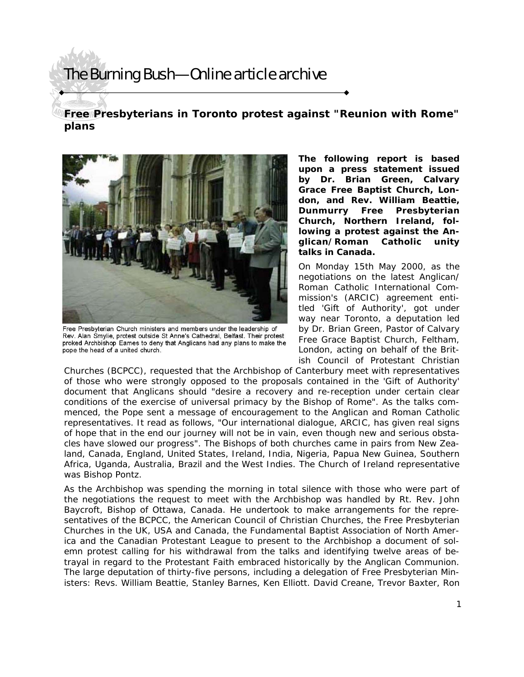# The Burning Bush—Online article archive

### **Free Presbyterians in Toronto protest against "Reunion with Rome" plans**



Free Presbyterian Church ministers and members under the leadership of Rev. Alan Smylie, protest outside St Anne's Cathedral, Belfast. Their protest proked Archbishop Eames to deny that Anglicans had any plans to make the pope the head of a united church.

**The following report is based upon a press statement issued by Dr. Brian Green, Calvary Grace Free Baptist Church, London, and Rev. William Beattie, Dunmurry Free Presbyterian Church, Northern Ireland, following a protest against the Anglican/Roman Catholic unity talks in Canada.** 

On Monday 15th May 2000, as the negotiations on the latest Anglican/ Roman Catholic International Commission's (ARCIC) agreement entitled 'Gift of Authority', got under way near Toronto, a deputation led by Dr. Brian Green, Pastor of Calvary Free Grace Baptist Church, Feltham, London, acting on behalf of the British Council of Protestant Christian

Churches (BCPCC), requested that the Archbishop of Canterbury meet with representatives of those who were strongly opposed to the proposals contained in the 'Gift of Authority' document that Anglicans should "desire a recovery and re-reception under certain clear conditions of the exercise of universal primacy by the Bishop of Rome". As the talks commenced, the Pope sent a message of encouragement to the Anglican and Roman Catholic representatives. It read as follows, "Our international dialogue, ARCIC, has given real signs of hope that in the end our journey will not be in vain, even though new and serious obstacles have slowed our progress". The Bishops of both churches came in pairs from New Zealand, Canada, England, United States, Ireland, India, Nigeria, Papua New Guinea, Southern Africa, Uganda, Australia, Brazil and the West Indies. The Church of Ireland representative was Bishop Pontz.

As the Archbishop was spending the morning in total silence with those who were part of the negotiations the request to meet with the Archbishop was handled by Rt. Rev. John Baycroft, Bishop of Ottawa, Canada. He undertook to make arrangements for the representatives of the BCPCC, the American Council of Christian Churches, the Free Presbyterian Churches in the UK, USA and Canada, the Fundamental Baptist Association of North America and the Canadian Protestant League to present to the Archbishop a document of solemn protest calling for his withdrawal from the talks and identifying twelve areas of betrayal in regard to the Protestant Faith embraced historically by the Anglican Communion. The large deputation of thirty-five persons, including a delegation of Free Presbyterian Ministers: Revs. William Beattie, Stanley Barnes, Ken Elliott. David Creane, Trevor Baxter, Ron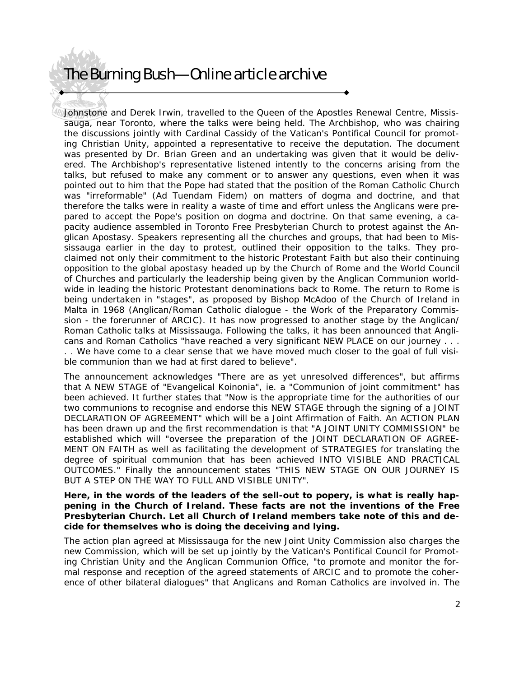## The Burning Bush—Online article archive

Johnstone and Derek Irwin, travelled to the Queen of the Apostles Renewal Centre, Mississauga, near Toronto, where the talks were being held. The Archbishop, who was chairing the discussions jointly with Cardinal Cassidy of the Vatican's Pontifical Council for promoting Christian Unity, appointed a representative to receive the deputation. The document was presented by Dr. Brian Green and an undertaking was given that it would be delivered. The Archbishop's representative listened intently to the concerns arising from the talks, but refused to make any comment or to answer any questions, even when it was pointed out to him that the Pope had stated that the position of the Roman Catholic Church was "irreformable" (Ad Tuendam Fidem) on matters of dogma and doctrine, and that therefore the talks were in reality a waste of time and effort unless the Anglicans were prepared to accept the Pope's position on dogma and doctrine. On that same evening, a capacity audience assembled in Toronto Free Presbyterian Church to protest against the Anglican Apostasy. Speakers representing all the churches and groups, that had been to Mississauga earlier in the day to protest, outlined their opposition to the talks. They proclaimed not only their commitment to the historic Protestant Faith but also their continuing opposition to the global apostasy headed up by the Church of Rome and the World Council of Churches and particularly the leadership being given by the Anglican Communion worldwide in leading the historic Protestant denominations back to Rome. The return to Rome is being undertaken in "stages", as proposed by Bishop McAdoo of the Church of Ireland in Malta in 1968 (Anglican/Roman Catholic dialogue - the Work of the Preparatory Commission - the forerunner of ARCIC). It has now progressed to another stage by the Anglican/ Roman Catholic talks at Mississauga. Following the talks, it has been announced that Anglicans and Roman Catholics "have reached a very significant NEW PLACE on our journey . . . . . We have come to a clear sense that we have moved much closer to the goal of full visible communion than we had at first dared to believe".

The announcement acknowledges "There are as yet unresolved differences", but affirms that A NEW STAGE of "Evangelical Koinonia", ie. a "Communion of joint commitment" has been achieved. It further states that "Now is the appropriate time for the authorities of our two communions to recognise and endorse this NEW STAGE through the signing of a JOINT DECLARATION OF AGREEMENT" which will be a Joint Affirmation of Faith. An ACTION PLAN has been drawn up and the first recommendation is that "A JOINT UNITY COMMISSION" be established which will "oversee the preparation of the JOINT DECLARATION OF AGREE-MENT ON FAITH as well as facilitating the development of STRATEGIES for translating the degree of spiritual communion that has been achieved INTO VISIBLE AND PRACTICAL OUTCOMES." Finally the announcement states "THIS NEW STAGE ON OUR JOURNEY IS BUT A STEP ON THE WAY TO FULL AND VISIBLE UNITY".

#### **Here, in the words of the leaders of the sell-out to popery, is what is really happening in the Church of Ireland. These facts are not the inventions of the Free Presbyterian Church. Let all Church of Ireland members take note of this and decide for themselves who is doing the deceiving and lying.**

The action plan agreed at Mississauga for the new Joint Unity Commission also charges the new Commission, which will be set up jointly by the Vatican's Pontifical Council for Promoting Christian Unity and the Anglican Communion Office, "to promote and monitor the formal response and reception of the agreed statements of ARCIC and to promote the coherence of other bilateral dialogues" that Anglicans and Roman Catholics are involved in. The